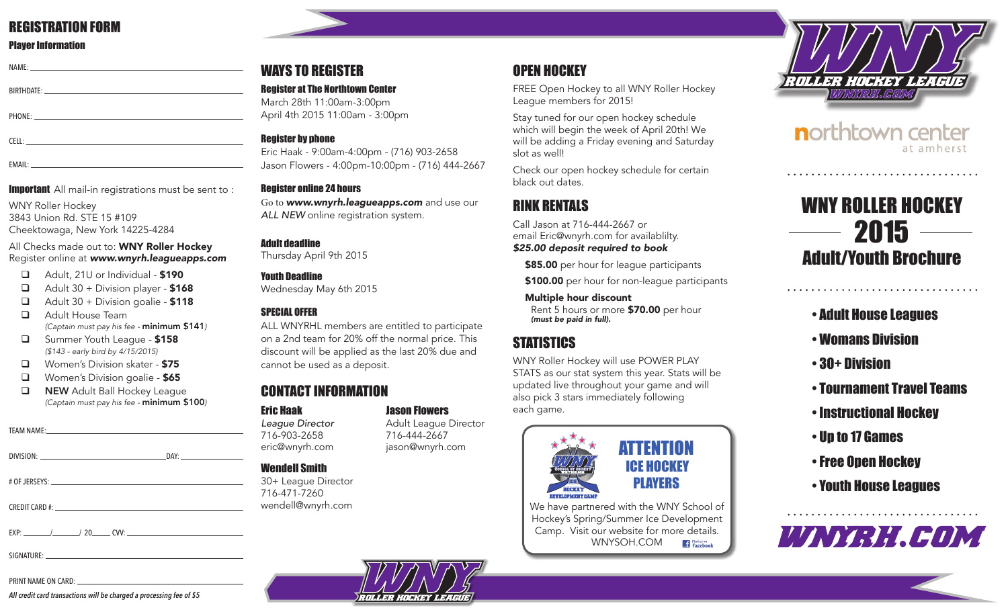### REGISTRATION FORM

### Player Information

| $NAME:$ $\qquad \qquad$ $\qquad \qquad$ $\qquad \qquad$ $\qquad \qquad$ $\qquad \qquad$ $\qquad \qquad$ $\qquad \qquad$ $\qquad \qquad$ $\qquad \qquad$ $\qquad \qquad$ $\qquad \qquad$ $\qquad \qquad$ $\qquad \qquad$ $\qquad \qquad$ $\qquad \qquad$ $\qquad \qquad$ $\qquad \qquad$ $\qquad \qquad$ $\qquad \qquad$ $\qquad \qquad$ $\qquad \qquad$ $\qquad \qquad$ $\qquad \qquad$ $\qquad \qquad$ |                                                     |  |  |
|---------------------------------------------------------------------------------------------------------------------------------------------------------------------------------------------------------------------------------------------------------------------------------------------------------------------------------------------------------------------------------------------------------|-----------------------------------------------------|--|--|
|                                                                                                                                                                                                                                                                                                                                                                                                         |                                                     |  |  |
|                                                                                                                                                                                                                                                                                                                                                                                                         |                                                     |  |  |
|                                                                                                                                                                                                                                                                                                                                                                                                         |                                                     |  |  |
|                                                                                                                                                                                                                                                                                                                                                                                                         |                                                     |  |  |
| FI I -                                                                                                                                                                                                                                                                                                                                                                                                  | the contract of the contract of the contract of the |  |  |

EMAIL:

### **Important** All mail-in registrations must be sent to :

WNY Roller Hockey 3843 Union Rd. STE 15 #109 Cheektowaga, New York 14225-4284

### All Checks made out to: **WNY Roller Hockey** Register online at *www.wnyrh.leagueapps.com*

- $\Box$  Adult, 21U or Individual \$190
- $\Box$  Adult 30 + Division player \$168
- $\Box$  Adult 30 + Division goalie \$118
- **Q** Adult House Team  *(Captain must pay his fee -* minimum \$141*)*
- **Q** Summer Youth League \$158  *(\$143 - early bird by 4/15/2015)*
- **Q** Women's Division skater \$75
- **Q** Women's Division goalie \$65
- **Q NEW** Adult Ball Hockey League  *(Captain must pay his fee -* minimum \$100*)*

| DIVISION:       | DAY: |
|-----------------|------|
|                 |      |
|                 |      |
| $#$ OF JERSEYS: |      |

CREDIT CARD #:

 $EXP:$   $/$  / 20 CVV:  $\_\_$ 

SIGNATURE:

#### PRINT NAME ON CARD:

*All credit card transactions will be charged a processing fee of \$5*

### WAYS TO REGISTER

Register at The Northtown Center March 28th 11:00am-3:00pm April 4th 2015 11:00am - 3:00pm

### **Register by phone**

Eric Haak - 9:00am-4:00pm - (716) 903-2658 Jason Flowers - 4:00pm-10:00pm - (716) 444-2667

### Register online 24 hours

Go to **www.wnyrh.leagueapps.com** and use our *ALL NEW* online registration system.

### Adult deadline

Thursday April 9th 2015

### Youth Deadline

Wednesday May 6th 2015

### SPECIAL OFFER

ALL WNYRHL members are entitled to participate on a 2nd team for 20% off the normal price. This discount will be applied as the last 20% due and cannot be used as a deposit.

# CONTACT INFORMATION

# **Eric Haak de Flowers**<br> **League Director** Adult League I

*League Director* Adult League Director 716-903-2658 716-444-2667 eric@wnyrh.com jason@wnyrh.com

### Wendell Smith

30+ League Director 716-471-7260 wendell@wnyrh.com

# OPEN HOCKEY

FREE Open Hockey to all WNY Roller Hockey League members for 2015!

Stay tuned for our open hockey schedule which will begin the week of April 20th! We will be adding a Friday evening and Saturday slot as well!

Check our open hockey schedule for certain black out dates.

# RINK RENTALS

Call Jason at 716-444-2667 or email Eric@wnyrh.com for availablilty. *\$25.00 deposit required to book*

\$85.00 per hour for league participants

\$100.00 per hour for non-league participants

Multiple hour discount Rent 5 hours or more \$70.00 per hour *(must be paid in full).*

# **STATISTICS**

WNY Roller Hockey will use POWER PLAY STATS as our stat system this year. Stats will be updated live throughout your game and will also pick 3 stars immediately following each game.



We have partnered with the WNY School of Hockey's Spring/Summer Ice Development Camp. Visit our website for more details. WNYSOH.COM **Fi** Find us on



northtown center at amherst

# WNY ROLLER HOCKEY  $2015$  — Adult/Youth Brochure

- Adult House Leagues
- Womans Division
- 30+ Division
- Tournament Travel Teams

- Instructional Hockey
- Up to 17 Games
- Free Open Hockey
- Youth House Leagues